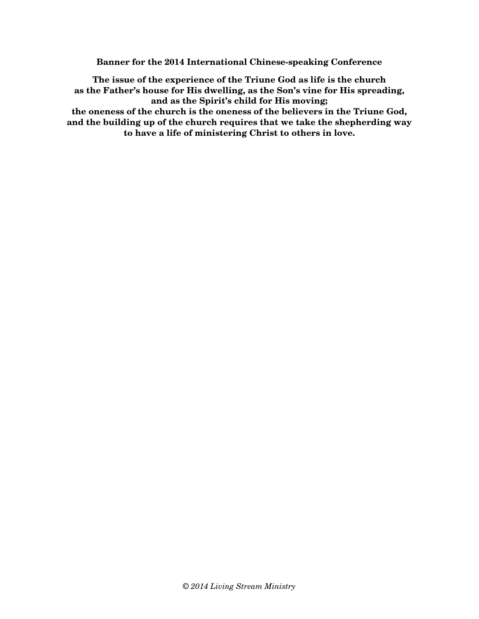**Banner for the 2014 International Chinese-speaking Conference** 

**The issue of the experience of the Triune God as life is the church as the Father's house for His dwelling, as the Son's vine for His spreading, and as the Spirit's child for His moving; the oneness of the church is the oneness of the believers in the Triune God, and the building up of the church requires that we take the shepherding way to have a life of ministering Christ to others in love.**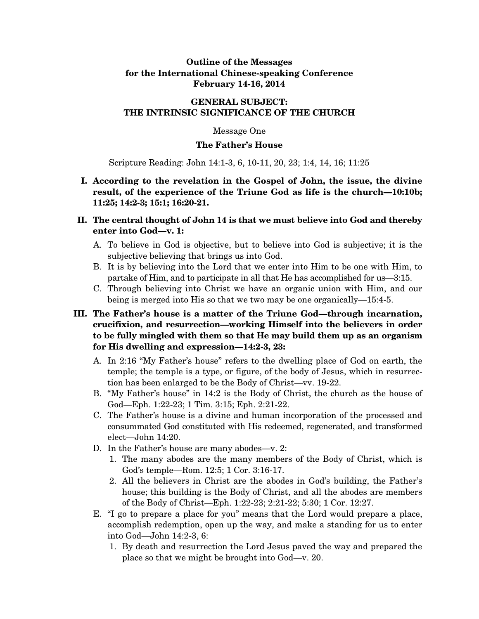## **Outline of the Messages for the International Chinese-speaking Conference February 14-16, 2014**

## **GENERAL SUBJECT: THE INTRINSIC SIGNIFICANCE OF THE CHURCH**

### Message One

#### **The Father's House**

Scripture Reading: John 14:1-3, 6, 10-11, 20, 23; 1:4, 14, 16; 11:25

- **I. According to the revelation in the Gospel of John, the issue, the divine result, of the experience of the Triune God as life is the church—10:10b; 11:25; 14:2-3; 15:1; 16:20-21.**
- **II. The central thought of John 14 is that we must believe into God and thereby enter into God—v. 1:** 
	- A. To believe in God is objective, but to believe into God is subjective; it is the subjective believing that brings us into God.
	- B. It is by believing into the Lord that we enter into Him to be one with Him, to partake of Him, and to participate in all that He has accomplished for us—3:15.
	- C. Through believing into Christ we have an organic union with Him, and our being is merged into His so that we two may be one organically—15:4-5.

# **III. The Father's house is a matter of the Triune God—through incarnation, crucifixion, and resurrection—working Himself into the believers in order to be fully mingled with them so that He may build them up as an organism for His dwelling and expression—14:2-3, 23:**

- A. In 2:16 "My Father's house" refers to the dwelling place of God on earth, the temple; the temple is a type, or figure, of the body of Jesus, which in resurrection has been enlarged to be the Body of Christ—vv. 19-22.
- B. "My Father's house" in 14:2 is the Body of Christ, the church as the house of God—Eph. 1:22-23; 1 Tim. 3:15; Eph. 2:21-22.
- C. The Father's house is a divine and human incorporation of the processed and consummated God constituted with His redeemed, regenerated, and transformed elect—John 14:20.
- D. In the Father's house are many abodes—v. 2:
	- 1. The many abodes are the many members of the Body of Christ, which is God's temple—Rom. 12:5; 1 Cor. 3:16-17.
	- 2. All the believers in Christ are the abodes in God's building, the Father's house; this building is the Body of Christ, and all the abodes are members of the Body of Christ—Eph. 1:22-23; 2:21-22; 5:30; 1 Cor. 12:27.
- E. "I go to prepare a place for you" means that the Lord would prepare a place, accomplish redemption, open up the way, and make a standing for us to enter into God—John 14:2-3, 6:
	- 1. By death and resurrection the Lord Jesus paved the way and prepared the place so that we might be brought into God—v. 20.